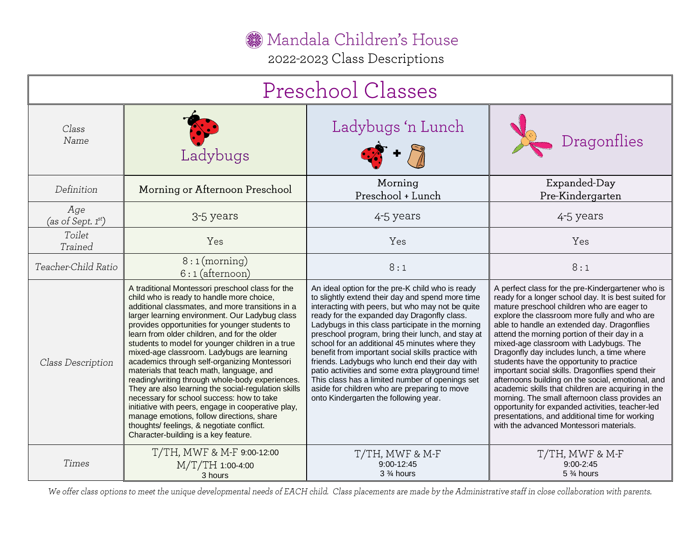Mandala Children's House

2022-2023 Class Descriptions

| Preschool Classes              |                                                                                                                                                                                                                                                                                                                                                                                                                                                                                                                                                                                                                                                                                                                                                                                                                                                    |                                                                                                                                                                                                                                                                                                                                                                                                                                                                                                                                                                                                                                                                             |                                                                                                                                                                                                                                                                                                                                                                                                                                                                                                                                                                                                                                                                                                                                                                                                               |  |
|--------------------------------|----------------------------------------------------------------------------------------------------------------------------------------------------------------------------------------------------------------------------------------------------------------------------------------------------------------------------------------------------------------------------------------------------------------------------------------------------------------------------------------------------------------------------------------------------------------------------------------------------------------------------------------------------------------------------------------------------------------------------------------------------------------------------------------------------------------------------------------------------|-----------------------------------------------------------------------------------------------------------------------------------------------------------------------------------------------------------------------------------------------------------------------------------------------------------------------------------------------------------------------------------------------------------------------------------------------------------------------------------------------------------------------------------------------------------------------------------------------------------------------------------------------------------------------------|---------------------------------------------------------------------------------------------------------------------------------------------------------------------------------------------------------------------------------------------------------------------------------------------------------------------------------------------------------------------------------------------------------------------------------------------------------------------------------------------------------------------------------------------------------------------------------------------------------------------------------------------------------------------------------------------------------------------------------------------------------------------------------------------------------------|--|
| Class<br>Name                  | Ladybugs                                                                                                                                                                                                                                                                                                                                                                                                                                                                                                                                                                                                                                                                                                                                                                                                                                           | Ladybugs 'n Lunch                                                                                                                                                                                                                                                                                                                                                                                                                                                                                                                                                                                                                                                           | Dragonflies                                                                                                                                                                                                                                                                                                                                                                                                                                                                                                                                                                                                                                                                                                                                                                                                   |  |
| Definition                     | Morning or Afternoon Preschool                                                                                                                                                                                                                                                                                                                                                                                                                                                                                                                                                                                                                                                                                                                                                                                                                     | Morning<br>Preschool + Lunch                                                                                                                                                                                                                                                                                                                                                                                                                                                                                                                                                                                                                                                | Expanded-Day<br>Pre-Kindergarten                                                                                                                                                                                                                                                                                                                                                                                                                                                                                                                                                                                                                                                                                                                                                                              |  |
| Age<br>(as of Sept. $1^{st}$ ) | 3-5 years                                                                                                                                                                                                                                                                                                                                                                                                                                                                                                                                                                                                                                                                                                                                                                                                                                          | 4-5 years                                                                                                                                                                                                                                                                                                                                                                                                                                                                                                                                                                                                                                                                   | 4-5 years                                                                                                                                                                                                                                                                                                                                                                                                                                                                                                                                                                                                                                                                                                                                                                                                     |  |
| Toilet<br>Trained              | Yes                                                                                                                                                                                                                                                                                                                                                                                                                                                                                                                                                                                                                                                                                                                                                                                                                                                | Yes                                                                                                                                                                                                                                                                                                                                                                                                                                                                                                                                                                                                                                                                         | Yes                                                                                                                                                                                                                                                                                                                                                                                                                                                                                                                                                                                                                                                                                                                                                                                                           |  |
| Teacher-Child Ratio            | $8:1$ (morning)<br>$6:1$ (afternoon)                                                                                                                                                                                                                                                                                                                                                                                                                                                                                                                                                                                                                                                                                                                                                                                                               | 8:1                                                                                                                                                                                                                                                                                                                                                                                                                                                                                                                                                                                                                                                                         | 8:1                                                                                                                                                                                                                                                                                                                                                                                                                                                                                                                                                                                                                                                                                                                                                                                                           |  |
| Class Description              | A traditional Montessori preschool class for the<br>child who is ready to handle more choice,<br>additional classmates, and more transitions in a<br>larger learning environment. Our Ladybug class<br>provides opportunities for younger students to<br>learn from older children, and for the older<br>students to model for younger children in a true<br>mixed-age classroom. Ladybugs are learning<br>academics through self-organizing Montessori<br>materials that teach math, language, and<br>reading/writing through whole-body experiences.<br>They are also learning the social-regulation skills<br>necessary for school success: how to take<br>initiative with peers, engage in cooperative play,<br>manage emotions, follow directions, share<br>thoughts/ feelings, & negotiate conflict.<br>Character-building is a key feature. | An ideal option for the pre-K child who is ready<br>to slightly extend their day and spend more time<br>interacting with peers, but who may not be quite<br>ready for the expanded day Dragonfly class.<br>Ladybugs in this class participate in the morning<br>preschool program, bring their lunch, and stay at<br>school for an additional 45 minutes where they<br>benefit from important social skills practice with<br>friends. Ladybugs who lunch end their day with<br>patio activities and some extra playground time!<br>This class has a limited number of openings set<br>aside for children who are preparing to move<br>onto Kindergarten the following year. | A perfect class for the pre-Kindergartener who is<br>ready for a longer school day. It is best suited for<br>mature preschool children who are eager to<br>explore the classroom more fully and who are<br>able to handle an extended day. Dragonflies<br>attend the morning portion of their day in a<br>mixed-age classroom with Ladybugs. The<br>Dragonfly day includes lunch, a time where<br>students have the opportunity to practice<br>important social skills. Dragonflies spend their<br>afternoons building on the social, emotional, and<br>academic skills that children are acquiring in the<br>morning. The small afternoon class provides an<br>opportunity for expanded activities, teacher-led<br>presentations, and additional time for working<br>with the advanced Montessori materials. |  |
| Times                          | T/TH, MWF & M-F 9:00-12:00<br>M/T/TH 1:00-4:00<br>3 hours                                                                                                                                                                                                                                                                                                                                                                                                                                                                                                                                                                                                                                                                                                                                                                                          | T/TH, MWF & M-F<br>9:00-12:45<br>3 % hours                                                                                                                                                                                                                                                                                                                                                                                                                                                                                                                                                                                                                                  | T/TH, MWF & M-F<br>$9:00 - 2:45$<br>5 % hours                                                                                                                                                                                                                                                                                                                                                                                                                                                                                                                                                                                                                                                                                                                                                                 |  |

We offer class options to meet the unique developmental needs of EACH child. Class placements are made by the Administrative staff in close collaboration with parents.